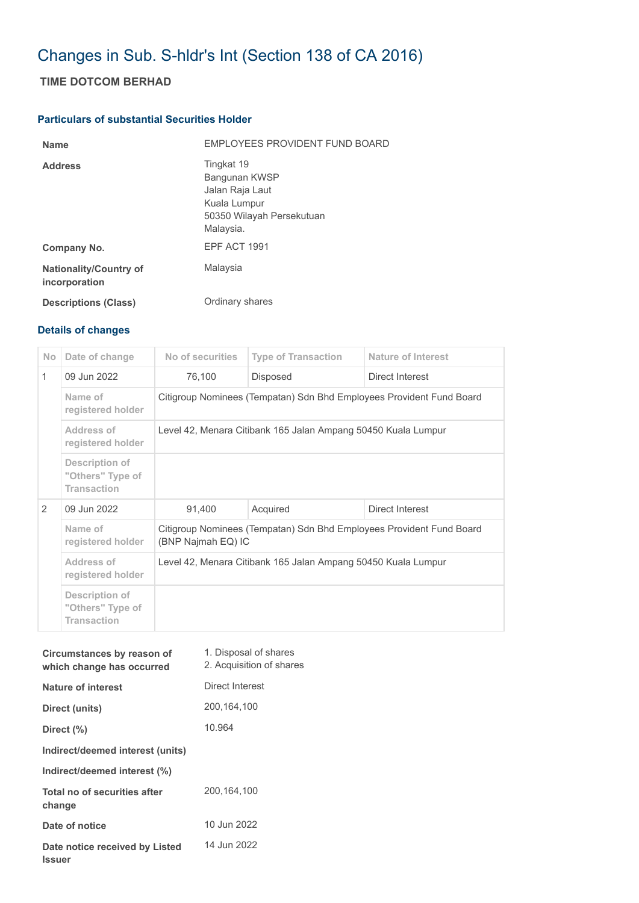## Changes in Sub. S-hldr's Int (Section 138 of CA 2016)

## **TIME DOTCOM BERHAD**

## **Particulars of substantial Securities Holder**

| <b>Name</b>                                    | EMPLOYEES PROVIDENT FUND BOARD                                                                           |
|------------------------------------------------|----------------------------------------------------------------------------------------------------------|
| <b>Address</b>                                 | Tingkat 19<br>Bangunan KWSP<br>Jalan Raja Laut<br>Kuala Lumpur<br>50350 Wilayah Persekutuan<br>Malaysia. |
| Company No.                                    | EPF ACT 1991                                                                                             |
| <b>Nationality/Country of</b><br>incorporation | Malaysia                                                                                                 |
| <b>Descriptions (Class)</b>                    | Ordinary shares                                                                                          |

## **Details of changes**

| No.           | Date of change                                           | No of securities                                                                           | <b>Type of Transaction</b> | <b>Nature of Interest</b> |  |
|---------------|----------------------------------------------------------|--------------------------------------------------------------------------------------------|----------------------------|---------------------------|--|
| $\mathbf{1}$  | 09 Jun 2022                                              | 76,100                                                                                     | <b>Disposed</b>            | Direct Interest           |  |
|               | Name of<br>registered holder                             | Citigroup Nominees (Tempatan) Sdn Bhd Employees Provident Fund Board                       |                            |                           |  |
|               | Address of<br>registered holder                          | Level 42, Menara Citibank 165 Jalan Ampang 50450 Kuala Lumpur                              |                            |                           |  |
|               | Description of<br>"Others" Type of<br><b>Transaction</b> |                                                                                            |                            |                           |  |
| $\mathcal{P}$ | 09 Jun 2022                                              | 91,400                                                                                     | Acquired                   | Direct Interest           |  |
|               | Name of<br>registered holder                             | Citigroup Nominees (Tempatan) Sdn Bhd Employees Provident Fund Board<br>(BNP Najmah EQ) IC |                            |                           |  |
|               | Address of<br>registered holder                          | Level 42, Menara Citibank 165 Jalan Ampang 50450 Kuala Lumpur                              |                            |                           |  |
|               | Description of<br>"Others" Type of<br><b>Transaction</b> |                                                                                            |                            |                           |  |

| Circumstances by reason of<br>which change has occurred | 1. Disposal of shares<br>2. Acquisition of shares |
|---------------------------------------------------------|---------------------------------------------------|
| Nature of interest                                      | Direct Interest                                   |
| Direct (units)                                          | 200,164,100                                       |
| Direct (%)                                              | 10.964                                            |
| Indirect/deemed interest (units)                        |                                                   |
| Indirect/deemed interest (%)                            |                                                   |
| Total no of securities after<br>change                  | 200.164.100                                       |
| Date of notice                                          | 10 Jun 2022                                       |
| Date notice received by Listed<br><b>Issuer</b>         | 14 Jun 2022                                       |